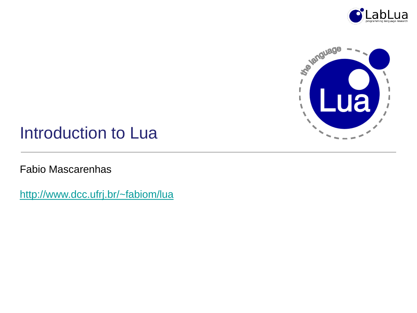



### Introduction to Lua

Fabio Mascarenhas

<http://www.dcc.ufrj.br/~fabiom/lua>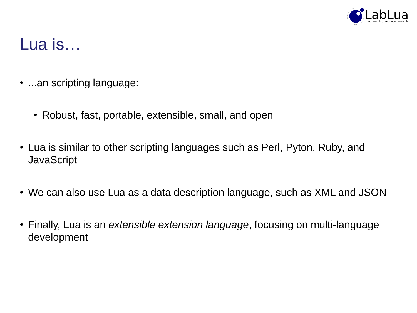

# Lua is…

- ...an scripting language:
	- Robust, fast, portable, extensible, small, and open
- Lua is similar to other scripting languages such as Perl, Pyton, Ruby, and **JavaScript**
- We can also use Lua as a data description language, such as XML and JSON
- Finally, Lua is an *extensible extension language*, focusing on multi-language development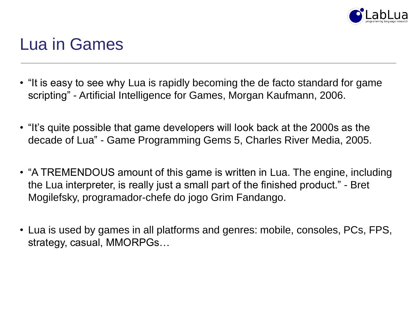

## Lua in Games

- "It is easy to see why Lua is rapidly becoming the de facto standard for game scripting" - Artificial Intelligence for Games, Morgan Kaufmann, 2006.
- "It's quite possible that game developers will look back at the 2000s as the decade of Lua" - Game Programming Gems 5, Charles River Media, 2005.
- "A TREMENDOUS amount of this game is written in Lua. The engine, including the Lua interpreter, is really just a small part of the finished product." - Bret Mogilefsky, programador-chefe do jogo Grim Fandango.
- Lua is used by games in all platforms and genres: mobile, consoles, PCs, FPS, strategy, casual, MMORPGs…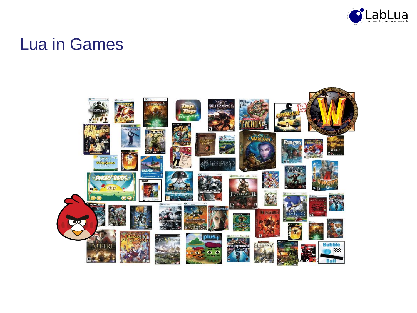

## Lua in Games

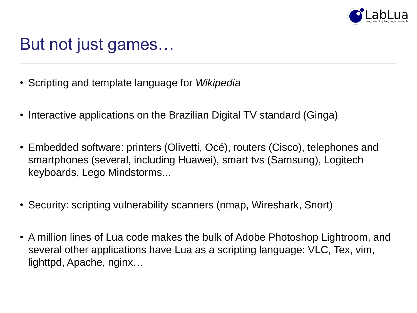

# But not just games…

- Scripting and template language for *Wikipedia*
- Interactive applications on the Brazilian Digital TV standard (Ginga)
- Embedded software: printers (Olivetti, Océ), routers (Cisco), telephones and smartphones (several, including Huawei), smart tvs (Samsung), Logitech keyboards, Lego Mindstorms...
- Security: scripting vulnerability scanners (nmap, Wireshark, Snort)
- A million lines of Lua code makes the bulk of Adobe Photoshop Lightroom, and several other applications have Lua as a scripting language: VLC, Tex, vim, lighttpd, Apache, nginx…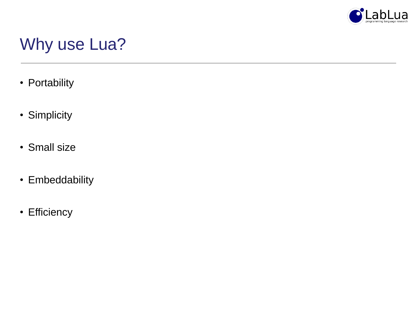

# Why use Lua?

- Portability
- Simplicity
- Small size
- Embeddability
- Efficiency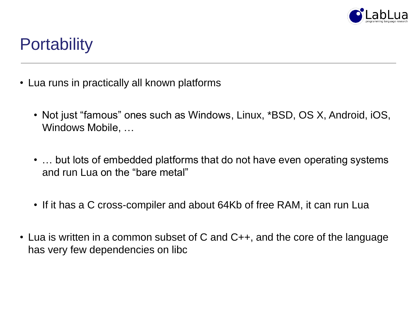

# **Portability**

- Lua runs in practically all known platforms
	- Not just "famous" ones such as Windows, Linux, \*BSD, OS X, Android, iOS, Windows Mobile, …
	- ... but lots of embedded platforms that do not have even operating systems and run Lua on the "bare metal"
	- If it has a C cross-compiler and about 64Kb of free RAM, it can run Lua
- Lua is written in a common subset of C and C++, and the core of the language has very few dependencies on libc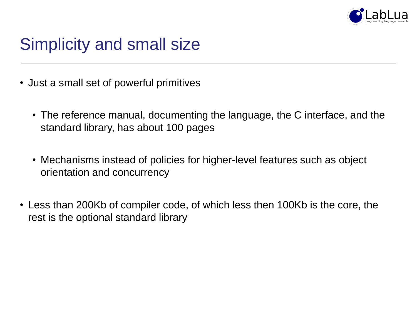

# Simplicity and small size

- Just a small set of powerful primitives
	- The reference manual, documenting the language, the C interface, and the standard library, has about 100 pages
	- Mechanisms instead of policies for higher-level features such as object orientation and concurrency
- Less than 200Kb of compiler code, of which less then 100Kb is the core, the rest is the optional standard library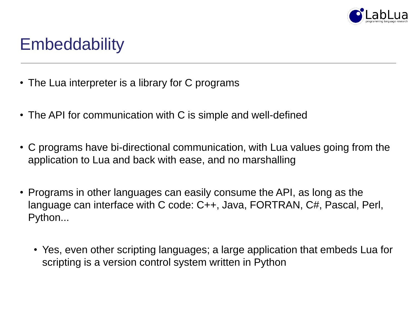

# **Embeddability**

- The Lua interpreter is a library for C programs
- The API for communication with C is simple and well-defined
- C programs have bi-directional communication, with Lua values going from the application to Lua and back with ease, and no marshalling
- Programs in other languages can easily consume the API, as long as the language can interface with C code: C++, Java, FORTRAN, C#, Pascal, Perl, Python...
	- Yes, even other scripting languages; a large application that embeds Lua for scripting is a version control system written in Python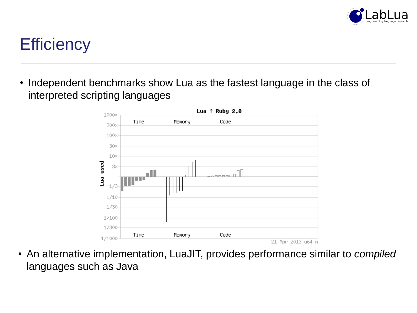

# **Efficiency**

• Independent benchmarks show Lua as the fastest language in the class of interpreted scripting languages



• An alternative implementation, LuaJIT, provides performance similar to *compiled* languages such as Java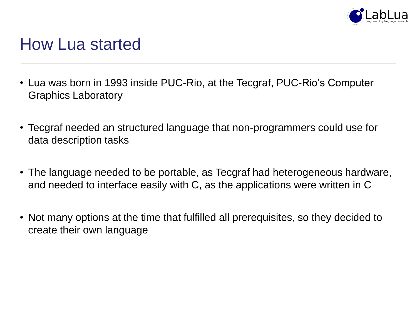

### How Lua started

- Lua was born in 1993 inside PUC-Rio, at the Tecgraf, PUC-Rio's Computer Graphics Laboratory
- Tecgraf needed an structured language that non-programmers could use for data description tasks
- The language needed to be portable, as Tecgraf had heterogeneous hardware, and needed to interface easily with C, as the applications were written in C
- Not many options at the time that fulfilled all prerequisites, so they decided to create their own language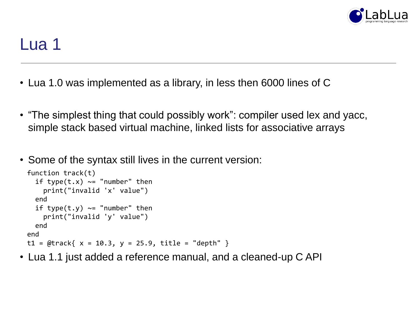

- Lua 1.0 was implemented as a library, in less then 6000 lines of C
- "The simplest thing that could possibly work": compiler used lex and yacc, simple stack based virtual machine, linked lists for associative arrays
- Some of the syntax still lives in the current version:

```
function track(t)
  if type(t,x) \sim = "number" then
    print("invalid 'x' value")
  end
  if type(t,y) \sim = "number" then
    print("invalid 'y' value")
  end
end
t1 = \text{@track} \{ x = 10.3, y = 25.9, title = "depth" \}
```
• Lua 1.1 just added a reference manual, and a cleaned-up C API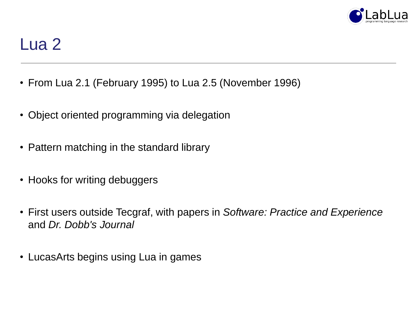

- From Lua 2.1 (February 1995) to Lua 2.5 (November 1996)
- Object oriented programming via delegation
- Pattern matching in the standard library
- Hooks for writing debuggers
- First users outside Tecgraf, with papers in *Software: Practice and Experience* and *Dr. Dobb's Journal*
- LucasArts begins using Lua in games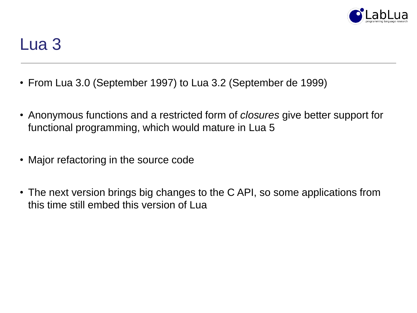

- From Lua 3.0 (September 1997) to Lua 3.2 (September de 1999)
- Anonymous functions and a restricted form of *closures* give better support for functional programming, which would mature in Lua 5
- Major refactoring in the source code
- The next version brings big changes to the C API, so some applications from this time still embed this version of Lua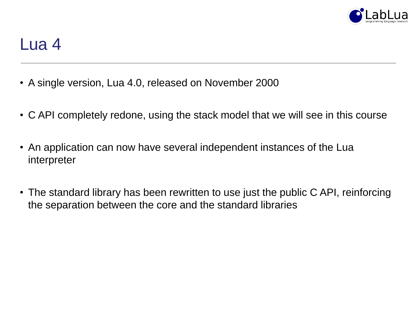

- A single version, Lua 4.0, released on November 2000
- C API completely redone, using the stack model that we will see in this course
- An application can now have several independent instances of the Lua interpreter
- The standard library has been rewritten to use just the public C API, reinforcing the separation between the core and the standard libraries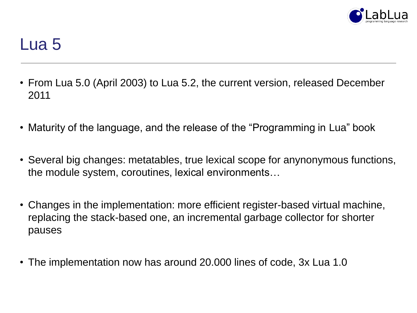

- From Lua 5.0 (April 2003) to Lua 5.2, the current version, released December 2011
- Maturity of the language, and the release of the "Programming in Lua" book
- Several big changes: metatables, true lexical scope for anynonymous functions, the module system, coroutines, lexical environments…
- Changes in the implementation: more efficient register-based virtual machine, replacing the stack-based one, an incremental garbage collector for shorter pauses
- The implementation now has around 20.000 lines of code, 3x Lua 1.0